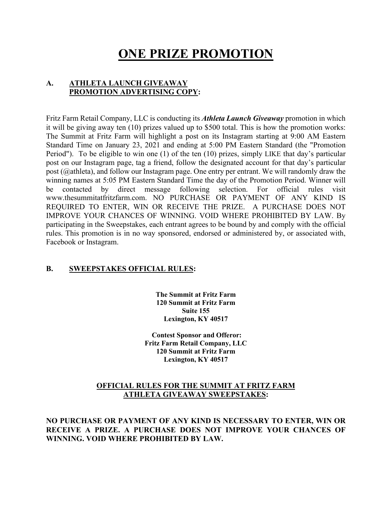# **ONE PRIZE PROMOTION**

### **A. ATHLETA LAUNCH GIVEAWAY PROMOTION ADVERTISING COPY:**

Fritz Farm Retail Company, LLC is conducting its *Athleta Launch Giveaway* promotion in which it will be giving away ten (10) prizes valued up to \$500 total. This is how the promotion works: The Summit at Fritz Farm will highlight a post on its Instagram starting at 9:00 AM Eastern Standard Time on January 23, 2021 and ending at 5:00 PM Eastern Standard (the "Promotion Period"). To be eligible to win one (1) of the ten (10) prizes, simply LIKE that day's particular post on our Instagram page, tag a friend, follow the designated account for that day's particular post (@athleta), and follow our Instagram page. One entry per entrant. We will randomly draw the winning names at 5:05 PM Eastern Standard Time the day of the Promotion Period. Winner will be contacted by direct message following selection. For official rules visit www.thesummitatfritzfarm.com. NO PURCHASE OR PAYMENT OF ANY KIND IS REQUIRED TO ENTER, WIN OR RECEIVE THE PRIZE. A PURCHASE DOES NOT IMPROVE YOUR CHANCES OF WINNING. VOID WHERE PROHIBITED BY LAW. By participating in the Sweepstakes, each entrant agrees to be bound by and comply with the official rules. This promotion is in no way sponsored, endorsed or administered by, or associated with, Facebook or Instagram.

#### **B. SWEEPSTAKES OFFICIAL RULES:**

**The Summit at Fritz Farm 120 Summit at Fritz Farm Suite 155 Lexington, KY 40517**

**Contest Sponsor and Offeror: Fritz Farm Retail Company, LLC 120 Summit at Fritz Farm Lexington, KY 40517**

## **OFFICIAL RULES FOR THE SUMMIT AT FRITZ FARM ATHLETA GIVEAWAY SWEEPSTAKES:**

**NO PURCHASE OR PAYMENT OF ANY KIND IS NECESSARY TO ENTER, WIN OR RECEIVE A PRIZE. A PURCHASE DOES NOT IMPROVE YOUR CHANCES OF WINNING. VOID WHERE PROHIBITED BY LAW.**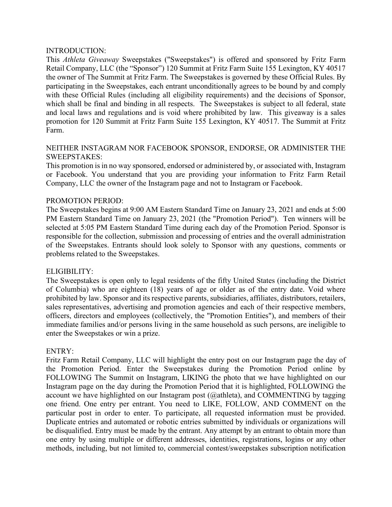#### INTRODUCTION:

This *Athleta Giveaway* Sweepstakes ("Sweepstakes") is offered and sponsored by Fritz Farm Retail Company, LLC (the "Sponsor") 120 Summit at Fritz Farm Suite 155 Lexington, KY 40517 the owner of The Summit at Fritz Farm. The Sweepstakes is governed by these Official Rules. By participating in the Sweepstakes, each entrant unconditionally agrees to be bound by and comply with these Official Rules (including all eligibility requirements) and the decisions of Sponsor, which shall be final and binding in all respects. The Sweepstakes is subject to all federal, state and local laws and regulations and is void where prohibited by law. This giveaway is a sales promotion for 120 Summit at Fritz Farm Suite 155 Lexington, KY 40517. The Summit at Fritz Farm.

## NEITHER INSTAGRAM NOR FACEBOOK SPONSOR, ENDORSE, OR ADMINISTER THE SWEEPSTAKES:

This promotion is in no way sponsored, endorsed or administered by, or associated with, Instagram or Facebook. You understand that you are providing your information to Fritz Farm Retail Company, LLC the owner of the Instagram page and not to Instagram or Facebook.

#### PROMOTION PERIOD:

The Sweepstakes begins at 9:00 AM Eastern Standard Time on January 23, 2021 and ends at 5:00 PM Eastern Standard Time on January 23, 2021 (the "Promotion Period"). Ten winners will be selected at 5:05 PM Eastern Standard Time during each day of the Promotion Period. Sponsor is responsible for the collection, submission and processing of entries and the overall administration of the Sweepstakes. Entrants should look solely to Sponsor with any questions, comments or problems related to the Sweepstakes.

#### ELIGIBILITY:

The Sweepstakes is open only to legal residents of the fifty United States (including the District of Columbia) who are eighteen (18) years of age or older as of the entry date. Void where prohibited by law. Sponsor and its respective parents, subsidiaries, affiliates, distributors, retailers, sales representatives, advertising and promotion agencies and each of their respective members, officers, directors and employees (collectively, the "Promotion Entities"), and members of their immediate families and/or persons living in the same household as such persons, are ineligible to enter the Sweepstakes or win a prize.

#### ENTRY:

Fritz Farm Retail Company, LLC will highlight the entry post on our Instagram page the day of the Promotion Period. Enter the Sweepstakes during the Promotion Period online by FOLLOWING The Summit on Instagram, LIKING the photo that we have highlighted on our Instagram page on the day during the Promotion Period that it is highlighted, FOLLOWING the account we have highlighted on our Instagram post  $(Qathleta)$ , and COMMENTING by tagging one friend. One entry per entrant. You need to LIKE, FOLLOW, AND COMMENT on the particular post in order to enter. To participate, all requested information must be provided. Duplicate entries and automated or robotic entries submitted by individuals or organizations will be disqualified. Entry must be made by the entrant. Any attempt by an entrant to obtain more than one entry by using multiple or different addresses, identities, registrations, logins or any other methods, including, but not limited to, commercial contest/sweepstakes subscription notification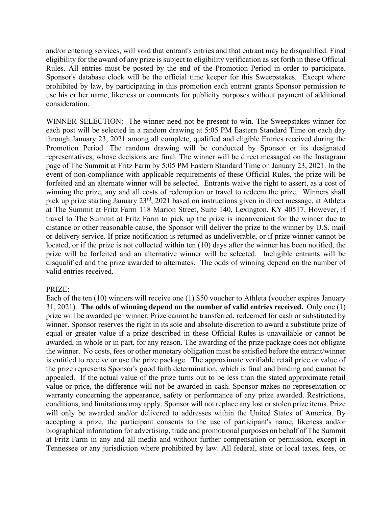and/or entering services, will void that entrant's entries and that entrant may be disqualified. Final eligibility for the award of any prize is subject to eligibility verification as set forth in these Official Rules. All entries must be posted by the end of the Promotion Period in order to participate. Sponsor's database clock will be the official time keeper for this Sweepstakes. Except where prohibited by law, by participating in this promotion each entrant grants Sponsor permission to use his or her name, likeness or comments for publicity purposes without payment of additional consideration.

WINNER SELECTION: The winner need not be present to win. The Sweepstakes winner for each post will be selected in a random drawing at 5:05 PM Eastern Standard Time on each day through January 23, 2021 among all complete, qualified and eligible Entries received during the Promotion Period. The random drawing will be conducted by Sponsor or its designated representatives, whose decisions are final. The winner will be direct messaged on the Instagram page of The Summit at Fritz Farm by 5:05 PM Eastern Standard Time on January 23, 2021. In the event of non-compliance with applicable requirements of these Official Rules, the prize will be forfeited and an alternate winner will be selected. Entrants waive the right to assert, as a cost of winning the prize, any and all costs of redemption or travel to redeem the prize. Winners shall pick up prize starting January 23rd, 2021 based on instructions given in direct message, at Athleta at The Summit at Fritz Farm 118 Marion Street, Suite 140, Lexington, KY 40517. However, if travel to The Summit at Fritz Farm to pick up the prize is inconvenient for the winner due to distance or other reasonable cause, the Sponsor will deliver the prize to the winner by U.S. mail or delivery service. If prize notification is returned as undeliverable, or if prize winner cannot be located, or if the prize is not collected within ten (10) days after the winner has been notified, the prize will be forfeited and an alternative winner will be selected. Ineligible entrants will be disqualified and the prize awarded to alternates. The odds of winning depend on the number of valid entries received.

#### PRIZE:

Each of the ten (10) winners will receive one (1) \$50 voucher to Athleta (voucher expires January 31, 2021). **The odds of winning depend on the number of valid entries received.** Only one (1) prize will be awarded per winner. Prize cannot be transferred, redeemed for cash or substituted by winner. Sponsor reserves the right in its sole and absolute discretion to award a substitute prize of equal or greater value if a prize described in these Official Rules is unavailable or cannot be awarded, in whole or in part, for any reason. The awarding of the prize package does not obligate the winner. No costs, fees or other monetary obligation must be satisfied before the entrant/winner is entitled to receive or use the prize package. The approximate verifiable retail price or value of the prize represents Sponsor's good faith determination, which is final and binding and cannot be appealed. If the actual value of the prize turns out to be less than the stated approximate retail value or price, the difference will not be awarded in cash. Sponsor makes no representation or warranty concerning the appearance, safety or performance of any prize awarded. Restrictions, conditions, and limitations may apply. Sponsor will not replace any lost or stolen prize items. Prize will only be awarded and/or delivered to addresses within the United States of America. By accepting a prize, the participant consents to the use of participant's name, likeness and/or biographical information for advertising, trade and promotional purposes on behalf of The Summit at Fritz Farm in any and all media and without further compensation or permission, except in Tennessee or any jurisdiction where prohibited by law. All federal, state or local taxes, fees, or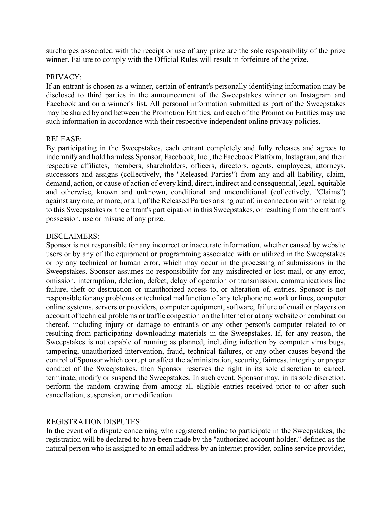surcharges associated with the receipt or use of any prize are the sole responsibility of the prize winner. Failure to comply with the Official Rules will result in forfeiture of the prize.

#### PRIVACY:

If an entrant is chosen as a winner, certain of entrant's personally identifying information may be disclosed to third parties in the announcement of the Sweepstakes winner on Instagram and Facebook and on a winner's list. All personal information submitted as part of the Sweepstakes may be shared by and between the Promotion Entities, and each of the Promotion Entities may use such information in accordance with their respective independent online privacy policies.

#### RELEASE:

By participating in the Sweepstakes, each entrant completely and fully releases and agrees to indemnify and hold harmless Sponsor, Facebook, Inc., the Facebook Platform, Instagram, and their respective affiliates, members, shareholders, officers, directors, agents, employees, attorneys, successors and assigns (collectively, the "Released Parties") from any and all liability, claim, demand, action, or cause of action of every kind, direct, indirect and consequential, legal, equitable and otherwise, known and unknown, conditional and unconditional (collectively, "Claims") against any one, or more, or all, of the Released Parties arising out of, in connection with or relating to this Sweepstakes or the entrant's participation in this Sweepstakes, or resulting from the entrant's possession, use or misuse of any prize.

#### DISCLAIMERS:

Sponsor is not responsible for any incorrect or inaccurate information, whether caused by website users or by any of the equipment or programming associated with or utilized in the Sweepstakes or by any technical or human error, which may occur in the processing of submissions in the Sweepstakes. Sponsor assumes no responsibility for any misdirected or lost mail, or any error, omission, interruption, deletion, defect, delay of operation or transmission, communications line failure, theft or destruction or unauthorized access to, or alteration of, entries. Sponsor is not responsible for any problems or technical malfunction of any telephone network or lines, computer online systems, servers or providers, computer equipment, software, failure of email or players on account of technical problems or traffic congestion on the Internet or at any website or combination thereof, including injury or damage to entrant's or any other person's computer related to or resulting from participating downloading materials in the Sweepstakes. If, for any reason, the Sweepstakes is not capable of running as planned, including infection by computer virus bugs, tampering, unauthorized intervention, fraud, technical failures, or any other causes beyond the control of Sponsor which corrupt or affect the administration, security, fairness, integrity or proper conduct of the Sweepstakes, then Sponsor reserves the right in its sole discretion to cancel, terminate, modify or suspend the Sweepstakes. In such event, Sponsor may, in its sole discretion, perform the random drawing from among all eligible entries received prior to or after such cancellation, suspension, or modification.

#### REGISTRATION DISPUTES:

In the event of a dispute concerning who registered online to participate in the Sweepstakes, the registration will be declared to have been made by the "authorized account holder," defined as the natural person who is assigned to an email address by an internet provider, online service provider,